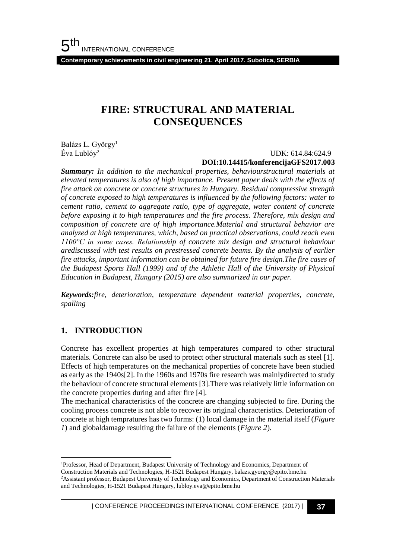**Contemporary achievements in civil engineering 21. April 2017. Subotica, SERBIA**

# **FIRE: STRUCTURAL AND MATERIAL CONSEQUENCES**

Balázs L. György<sup>1</sup> Éva Lublóy<sup>2</sup>

#### UDK: 614.84:624.9 **DOI:10.14415/konferencijaGFS2017.003**

*Summary: In addition to the mechanical properties, behaviourstructural materials at elevated temperatures is also of high importance. Present paper deals with the effects of fire attack on concrete or concrete structures in Hungary. Residual compressive strength of concrete exposed to high temperatures is influenced by the following factors: water to cement ratio, cement to aggregate ratio, type of aggregate, water content of concrete before exposing it to high temperatures and the fire process. Therefore, mix design and composition of concrete are of high importance.Material and structural behavior are analyzed at high temperatures, which, based on practical observations, could reach even 1100°C in some cases. Relationship of concrete mix design and structural behaviour arediscussed with test results on prestressed concrete beams. By the analysis of earlier fire attacks, important information can be obtained for future fire design.The fire cases of the Budapest Sports Hall (1999) and of the Athletic Hall of the University of Physical Education in Budapest, Hungary (2015) are also summarized in our paper.*

*Keywords:fire, deterioration, temperature dependent material properties, concrete, spalling*

### **1. INTRODUCTION**

l

Concrete has excellent properties at high temperatures compared to other structural materials. Concrete can also be used to protect other structural materials such as steel [1]. Effects of high temperatures on the mechanical properties of concrete have been studied as early as the 1940s[2]. In the 1960s and 1970s fire research was mainlydirected to study the behaviour of concrete structural elements [3].There was relatively little information on the concrete properties during and after fire [4].

The mechanical characteristics of the concrete are changing subjected to fire. During the cooling process concrete is not able to recover its original characteristics. Deterioration of concrete at high tempratures has two forms: (1) local damage in the material itself (*Figure 1*) and globaldamage resulting the failure of the elements (*Figure 2*).

<sup>1</sup>Professor, Head of Department, Budapest University of Technology and Economics, Department of Construction Materials and Technologies, H-1521 Budapest Hungary, balazs.gyorgy@epito.bme.hu <sup>2</sup>Assistant professor, Budapest University of Technology and Economics, Department of Construction Materials and Technologies, H-1521 Budapest Hungary, lubloy.eva@epito.bme.hu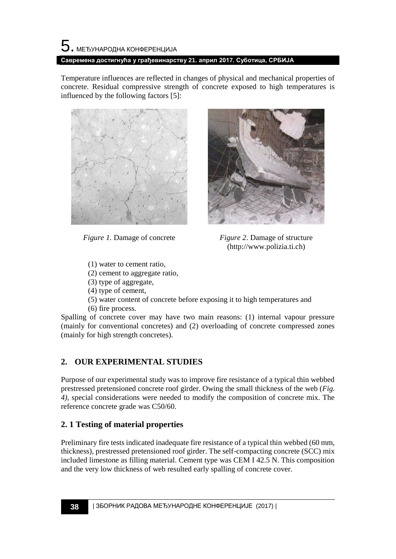Temperature influences are reflected in changes of physical and mechanical properties of concrete. Residual compressive strength of concrete exposed to high temperatures is influenced by the following factors [5]:





*Figure 1.* Damage of concrete *Figure 2*. Damage of structure (http://www.polizia.ti.ch)

- (1) water to cement ratio,
- (2) cement to aggregate ratio,
- (3) type of aggregate,
- (4) type of cement,
- (5) water content of concrete before exposing it to high temperatures and
- (6) fire process.

Spalling of concrete cover may have two main reasons: (1) internal vapour pressure (mainly for conventional concretes) and (2) overloading of concrete compressed zones (mainly for high strength concretes).

## **2. OUR EXPERIMENTAL STUDIES**

Purpose of our experimental study was to improve fire resistance of a typical thin webbed prestressed pretensioned concrete roof girder. Owing the small thickness of the web (*Fig. 4),* special considerations were needed to modify the composition of concrete mix. The reference concrete grade was C50/60.

## **2. 1 Testing of material properties**

Preliminary fire tests indicated inadequate fire resistance of a typical thin webbed (60 mm, thickness), prestressed pretensioned roof girder. The self-compacting concrete (SCC) mix included limestone as filling material. Cement type was CEM I 42.5 N. This composition and the very low thickness of web resulted early spalling of concrete cover.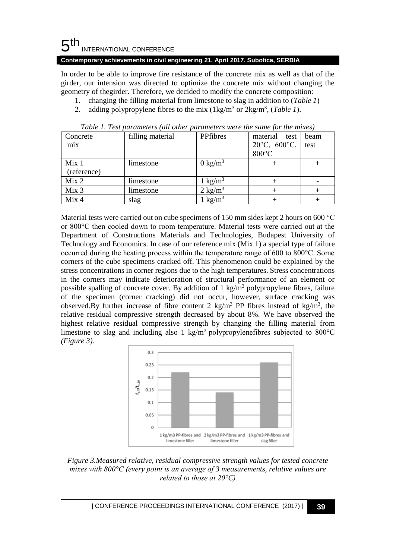#### 5 th INTERNATIONAL CONFERENCE

#### **Contemporary achievements in civil engineering 21. April 2017. Subotica, SERBIA**

In order to be able to improve fire resistance of the concrete mix as well as that of the girder, our intension was directed to optimize the concrete mix without changing the geometry of thegirder. Therefore, we decided to modify the concrete composition:

- 1. changing the filling material from limestone to slag in addition to (*Table 1*)
- 2. adding polypropylene fibres to the mix  $(1\text{kg/m}^3 \text{ or } 2\text{kg/m}^3, (Table 1).$

| Concrete         | filling material | PPfibres           | material test                    | beam |
|------------------|------------------|--------------------|----------------------------------|------|
| mix              |                  |                    | $20^{\circ}$ C, $600^{\circ}$ C, | test |
|                  |                  |                    | $800^{\circ}$ C                  |      |
| Mix <sub>1</sub> | limestone        | $0 \text{ kg/m}^3$ |                                  |      |
| (reference)      |                  |                    |                                  |      |
| Mix <sub>2</sub> | limestone        | $1 \text{ kg/m}^3$ |                                  |      |
| Mix 3            | limestone        | $2 \text{ kg/m}^3$ |                                  |      |
| Mix <sub>4</sub> | slag             | kg/m <sup>3</sup>  |                                  |      |

*Table 1. Test parameters (all other parameters were the same for the mixes)*

Material tests were carried out on cube specimens of 150 mm sides kept 2 hours on 600 °C or 800°C then cooled down to room temperature. Material tests were carried out at the Department of Constructions Materials and Technologies, Budapest University of Technology and Economics. In case of our reference mix (Mix 1) a special type of failure occurred during the heating process within the temperature range of 600 to 800°C. Some corners of the cube specimens cracked off. This phenomenon could be explained by the stress concentrations in corner regions due to the high temperatures. Stress concentrations in the corners may indicate deterioration of structural performance of an element or possible spalling of concrete cover. By addition of 1 kg/m<sup>3</sup> polypropylene fibres, failure of the specimen (corner cracking) did not occur, however, surface cracking was observed.By further increase of fibre content 2 kg/m<sup>3</sup> PP fibres instead of kg/m<sup>3</sup>, the relative residual compressive strength decreased by about 8%. We have observed the highest relative residual compressive strength by changing the filling material from limestone to slag and including also 1 kg/m<sup>3</sup> polypropylenefibres subjected to 800 $^{\circ}$ C *(Figure 3).*



*Figure 3.Measured relative, residual compressive strength values for tested concrete mixes with 800°C (every point is an average of 3 measurements, relative values are related to those at 20°C)*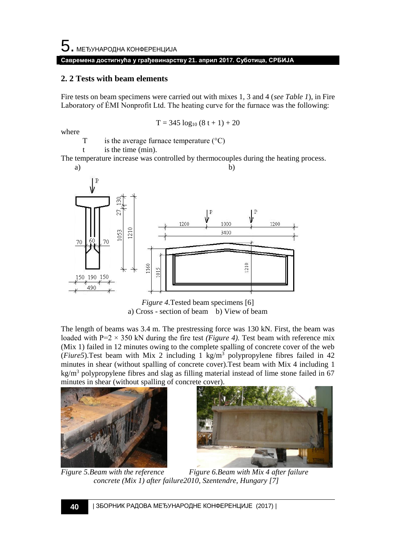#### **Савремена достигнућа у грађевинарству 21. април 2017. Суботица, СРБИЈА**

#### **2. 2 Tests with beam elements**

Fire tests on beam specimens were carried out with mixes 1, 3 and 4 (*see Table 1*), in Fire Laboratory of ÉMI Nonprofit Ltd. The heating curve for the furnace was the following:

$$
T = 345 \log_{10} (8 t + 1) + 20
$$

where

T is the average furnace temperature  $(°C)$ 

t is the time (min).

The temperature increase was controlled by thermocouples during the heating process.



*Figure 4.*Tested beam specimens [6] a) Cross - section of beam b) View of beam

The length of beams was 3.4 m. The prestressing force was 130 kN. First, the beam was loaded with P=2  $\times$  350 kN during the fire test *(Figure 4)*. Test beam with reference mix (Mix 1) failed in 12 minutes owing to the complete spalling of concrete cover of the web (*Fiure5*). Test beam with Mix 2 including 1 kg/m<sup>3</sup> polypropylene fibres failed in 42 minutes in shear (without spalling of concrete cover).Test beam with Mix 4 including 1  $kg/m<sup>3</sup>$  polypropylene fibres and slag as filling material instead of lime stone failed in 67 minutes in shear (without spalling of concrete cover).





*Figure 5.Beam with the reference* Figure 6.Beam with Mix 4 after failure *concrete (Mix 1) after failure2010, Szentendre, Hungary [7]*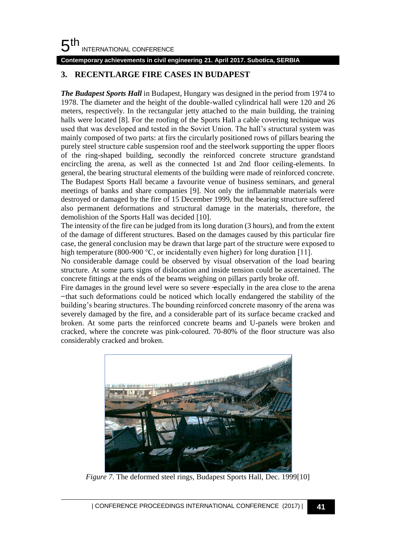#### 5 th INTERNATIONAL CONFERENCE

#### **Contemporary achievements in civil engineering 21. April 2017. Subotica, SERBIA**

## **3. RECENTLARGE FIRE CASES IN BUDAPEST**

*The Budapest Sports Hall* in Budapest, Hungary was designed in the period from 1974 to 1978. The diameter and the height of the double-walled cylindrical hall were 120 and 26 meters, respectively. In the rectangular jetty attached to the main building, the training halls were located [8]. For the roofing of the Sports Hall a cable covering technique was used that was developed and tested in the Soviet Union. The hall's structural system was mainly composed of two parts: at firs the circularly positioned rows of pillars bearing the purely steel structure cable suspension roof and the steelwork supporting the upper floors of the ring-shaped building, secondly the reinforced concrete structure grandstand encircling the arena, as well as the connected 1st and 2nd floor ceiling-elements. In general, the bearing structural elements of the building were made of reinforced concrete. The Budapest Sports Hall became a favourite venue of business seminars, and general meetings of banks and share companies [9]. Not only the inflammable materials were destroyed or damaged by the fire of 15 December 1999, but the bearing structure suffered also permanent deformations and structural damage in the materials, therefore, the demolishion of the Sports Hall was decided [10].

The intensity of the fire can be judged from its long duration (3 hours), and from the extent of the damage of different structures. Based on the damages caused by this particular fire case, the general conclusion may be drawn that large part of the structure were exposed to high temperature (800-900 °C, or incidentally even higher) for long duration [11].

No considerable damage could be observed by visual observation of the load bearing structure. At some parts signs of dislocation and inside tension could be ascertained. The concrete fittings at the ends of the beams weighing on pillars partly broke off.

Fire damages in the ground level were so severe  $\text{-}$ especially in the area close to the arena ̶that such deformations could be noticed which locally endangered the stability of the building's bearing structures. The bounding reinforced concrete masonry of the arena was severely damaged by the fire, and a considerable part of its surface became cracked and broken. At some parts the reinforced concrete beams and U-panels were broken and cracked, where the concrete was pink-coloured. 70-80% of the floor structure was also considerably cracked and broken.



*Figure 7*. The deformed steel rings, Budapest Sports Hall, Dec. 1999[10]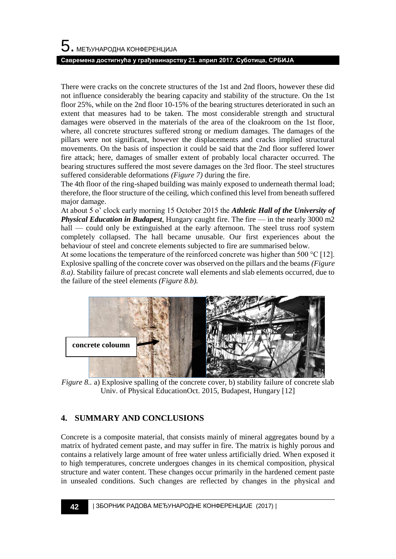#### **Савремена достигнућа у грађевинарству 21. април 2017. Суботица, СРБИЈА**

There were cracks on the concrete structures of the 1st and 2nd floors, however these did not influence considerably the bearing capacity and stability of the structure. On the 1st floor 25%, while on the 2nd floor 10-15% of the bearing structures deteriorated in such an extent that measures had to be taken. The most considerable strength and structural damages were observed in the materials of the area of the cloakroom on the 1st floor, where, all concrete structures suffered strong or medium damages. The damages of the pillars were not significant, however the displacements and cracks implied structural movements. On the basis of inspection it could be said that the 2nd floor suffered lower fire attack; here, damages of smaller extent of probably local character occurred. The bearing structures suffered the most severe damages on the 3rd floor. The steel structures suffered considerable deformations *(Figure 7)* during the fire.

The 4th floor of the ring-shaped building was mainly exposed to underneath thermal load; therefore, the floor structure of the ceiling, which confined this level from beneath suffered major damage.

At about 5 o' clock early morning 15 October 2015 the *Athletic Hall of the University of Physical Education in Budapest*, Hungary caught fire. The fire — in the nearly 3000 m2 hall — could only be extinguished at the early afternoon. The steel truss roof system completely collapsed. The hall became unusable. Our first experiences about the behaviour of steel and concrete elements subjected to fire are summarised below.

At some locations the temperature of the reinforced concrete was higher than 500 °C [12]. Explosive spalling of the concrete cover was observed on the pillars and the beams *(Figure 8.a)*. Stability failure of precast concrete wall elements and slab elements occurred, due to the failure of the steel elements *(Figure 8.b).*



*Figure 8.. a*) Explosive spalling of the concrete cover, b) stability failure of concrete slab Univ. of Physical EducationOct. 2015, Budapest, Hungary [12]

## **4. SUMMARY AND CONCLUSIONS**

Concrete is a composite material, that consists mainly of mineral aggregates bound by a matrix of hydrated cement paste, and may suffer in fire. The matrix is highly porous and contains a relatively large amount of free water unless artificially dried. When exposed it to high temperatures, concrete undergoes changes in its chemical composition, physical structure and water content. These changes occur primarily in the hardened cement paste in unsealed conditions. Such changes are reflected by changes in the physical and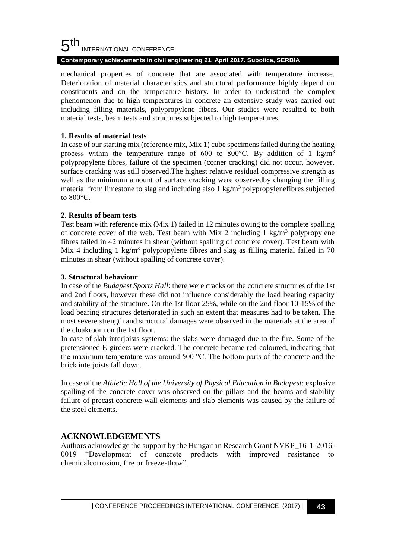#### 5 th INTERNATIONAL CONFERENCE

#### **Contemporary achievements in civil engineering 21. April 2017. Subotica, SERBIA**

mechanical properties of concrete that are associated with temperature increase. Deterioration of material characteristics and structural performance highly depend on constituents and on the temperature history. In order to understand the complex phenomenon due to high temperatures in concrete an extensive study was carried out including filling materials, polypropylene fibers. Our studies were resulted to both material tests, beam tests and structures subjected to high temperatures.

### **1. Results of material tests**

In case of our starting mix (reference mix, Mix 1) cube specimens failed during the heating process within the temperature range of 600 to 800 °C. By addition of 1 kg/m<sup>3</sup> polypropylene fibres, failure of the specimen (corner cracking) did not occur, however, surface cracking was still observed.The highest relative residual compressive strength as well as the minimum amount of surface cracking were observedby changing the filling material from limestone to slag and including also  $1 \text{ kg/m}^3$  polypropylenefibres subjected to 800°C.

### **2. Results of beam tests**

Test beam with reference mix (Mix 1) failed in 12 minutes owing to the complete spalling of concrete cover of the web. Test beam with Mix 2 including 1 kg/m<sup>3</sup> polypropylene fibres failed in 42 minutes in shear (without spalling of concrete cover). Test beam with Mix 4 including 1 kg/m<sup>3</sup> polypropylene fibres and slag as filling material failed in 70 minutes in shear (without spalling of concrete cover).

### **3. Structural behaviour**

In case of the *Budapest Sports Hall*: there were cracks on the concrete structures of the 1st and 2nd floors, however these did not influence considerably the load bearing capacity and stability of the structure. On the 1st floor 25%, while on the 2nd floor 10-15% of the load bearing structures deteriorated in such an extent that measures had to be taken. The most severe strength and structural damages were observed in the materials at the area of the cloakroom on the 1st floor.

In case of slab-interjoists systems: the slabs were damaged due to the fire. Some of the pretensioned E-girders were cracked. The concrete became red-coloured, indicating that the maximum temperature was around 500 °C. The bottom parts of the concrete and the brick interjoists fall down.

In case of the *Athletic Hall of the University of Physical Education in Budapest*: explosive spalling of the concrete cover was observed on the pillars and the beams and stability failure of precast concrete wall elements and slab elements was caused by the failure of the steel elements.

## **ACKNOWLEDGEMENTS**

Authors acknowledge the support by the Hungarian Research Grant NVKP\_16-1-2016- 0019 "Development of concrete products with improved resistance to chemicalcorrosion, fire or freeze-thaw".